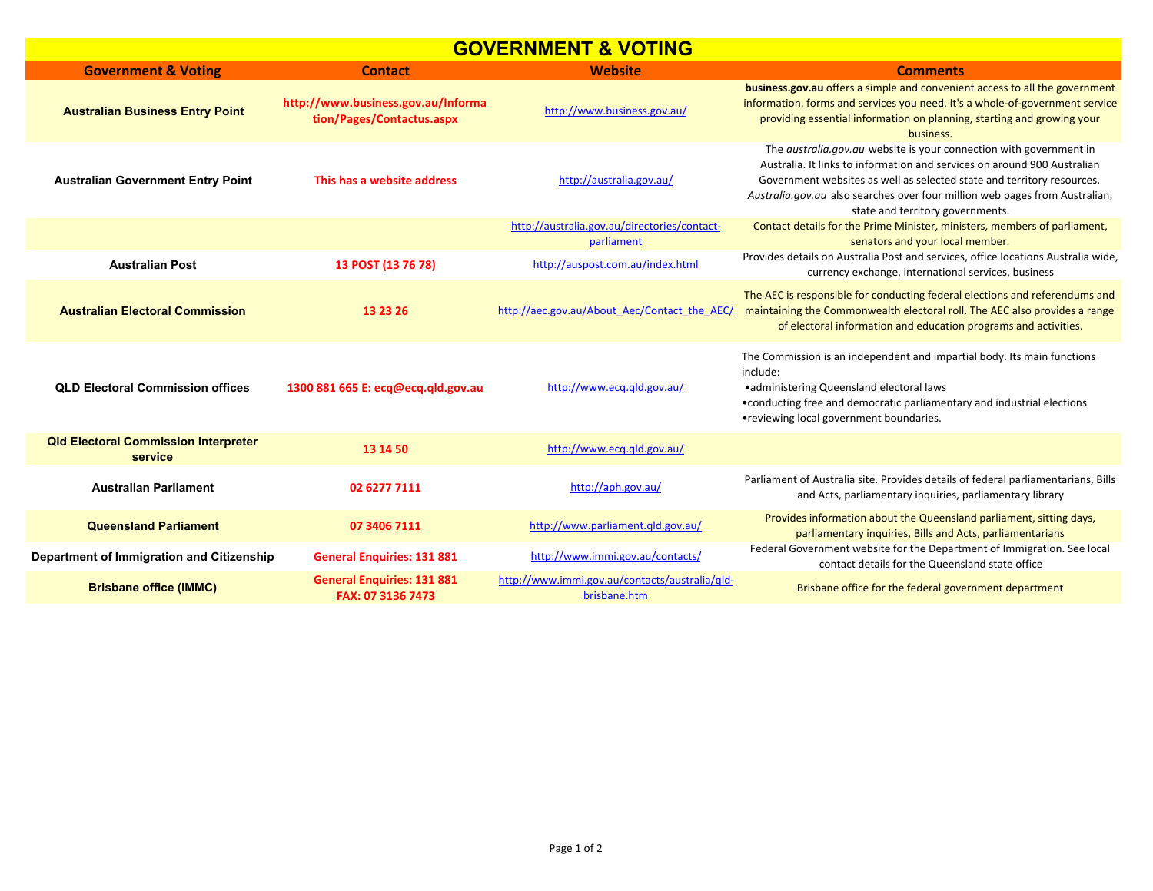## **GOVERNMENT & VOTING**

| <u> Stillen &amp; Voting</u>                           |                                                                 |                                                                |                                                                                                                                                                                                                                                                                                                                                    |  |  |
|--------------------------------------------------------|-----------------------------------------------------------------|----------------------------------------------------------------|----------------------------------------------------------------------------------------------------------------------------------------------------------------------------------------------------------------------------------------------------------------------------------------------------------------------------------------------------|--|--|
| <b>Government &amp; Voting</b>                         | <b>Contact</b>                                                  | <b>Website</b>                                                 | <b>Comments</b>                                                                                                                                                                                                                                                                                                                                    |  |  |
| <b>Australian Business Entry Point</b>                 | http://www.business.gov.au/Informa<br>tion/Pages/Contactus.aspx | http://www.business.gov.au/                                    | business.gov.au offers a simple and convenient access to all the government<br>information, forms and services you need. It's a whole-of-government service<br>providing essential information on planning, starting and growing your<br>business.                                                                                                 |  |  |
| <b>Australian Government Entry Point</b>               | This has a website address                                      | http://australia.gov.au/                                       | The <i>australia.gov.au</i> website is your connection with government in<br>Australia. It links to information and services on around 900 Australian<br>Government websites as well as selected state and territory resources.<br>Australia.gov.au also searches over four million web pages from Australian,<br>state and territory governments. |  |  |
|                                                        |                                                                 | http://australia.gov.au/directories/contact-                   | Contact details for the Prime Minister, ministers, members of parliament,                                                                                                                                                                                                                                                                          |  |  |
|                                                        |                                                                 | parliament                                                     | senators and your local member.                                                                                                                                                                                                                                                                                                                    |  |  |
| <b>Australian Post</b>                                 | 13 POST (13 76 78)                                              | http://auspost.com.au/index.html                               | Provides details on Australia Post and services, office locations Australia wide,<br>currency exchange, international services, business                                                                                                                                                                                                           |  |  |
| <b>Australian Electoral Commission</b>                 | 13 23 26                                                        | http://aec.gov.au/About Aec/Contact the AEC/                   | The AEC is responsible for conducting federal elections and referendums and<br>maintaining the Commonwealth electoral roll. The AEC also provides a range<br>of electoral information and education programs and activities.                                                                                                                       |  |  |
| <b>QLD Electoral Commission offices</b>                | 1300 881 665 E: ecg@ecg.gld.gov.au                              | http://www.ecg.gld.gov.au/                                     | The Commission is an independent and impartial body. Its main functions<br>include:<br>• administering Queensland electoral laws<br>• conducting free and democratic parliamentary and industrial elections<br>•reviewing local government boundaries.                                                                                             |  |  |
| <b>Qld Electoral Commission interpreter</b><br>service | 13 14 50                                                        | http://www.ecg.gld.gov.au/                                     |                                                                                                                                                                                                                                                                                                                                                    |  |  |
| <b>Australian Parliament</b>                           | 02 6277 7111                                                    | http://aph.gov.au/                                             | Parliament of Australia site. Provides details of federal parliamentarians, Bills<br>and Acts, parliamentary inquiries, parliamentary library                                                                                                                                                                                                      |  |  |
| <b>Queensland Parliament</b>                           | 07 3406 7111                                                    | http://www.parliament.qld.gov.au/                              | Provides information about the Queensland parliament, sitting days,<br>parliamentary inquiries, Bills and Acts, parliamentarians                                                                                                                                                                                                                   |  |  |
| Department of Immigration and Citizenship              | <b>General Enquiries: 131 881</b>                               | http://www.immi.gov.au/contacts/                               | Federal Government website for the Department of Immigration. See local<br>contact details for the Queensland state office                                                                                                                                                                                                                         |  |  |
| <b>Brisbane office (IMMC)</b>                          | <b>General Enquiries: 131 881</b><br>FAX: 07 3136 7473          | http://www.immi.gov.au/contacts/australia/qld-<br>brisbane.htm | Brisbane office for the federal government department                                                                                                                                                                                                                                                                                              |  |  |
|                                                        |                                                                 |                                                                |                                                                                                                                                                                                                                                                                                                                                    |  |  |